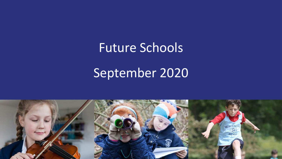# Future Schools

## September 2020

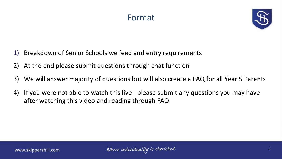### Format



- 1) Breakdown of Senior Schools we feed and entry requirements
- 2) At the end please submit questions through chat function
- 3) We will answer majority of questions but will also create a FAQ for all Year 5 Parents
- 4) If you were not able to watch this live please submit any questions you may have after watching this video and reading through FAQ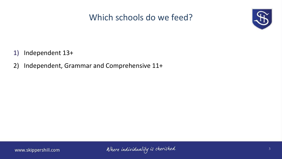### Which schools do we feed?



- 1) Independent 13+
- 2) Independent, Grammar and Comprehensive 11+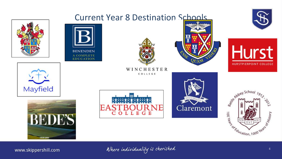

www.skippershill.com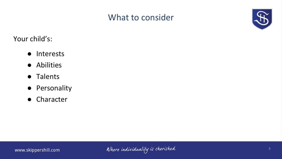### What to consider



Your child's:

- Interests
- Abilities
- Talents
- Personality
- Character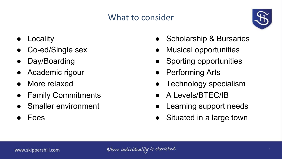### What to consider



- **Locality**
- Co-ed/Single sex
- Day/Boarding
- Academic rigour
- More relaxed
- **Family Commitments**
- Smaller environment
- **Fees**
- Scholarship & Bursaries
- Musical opportunities
- Sporting opportunities
- Performing Arts
- Technology specialism
- A Levels/BTEC/IB
- Learning support needs
- Situated in a large town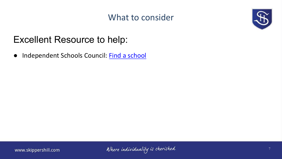### What to consider



## Excellent Resource to help:

● Independent Schools Council: [Find a school](https://www.isc.co.uk/schools/)

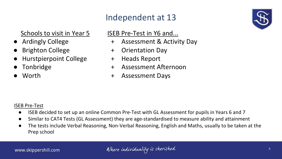### Independent at 13

### Schools to visit in Year 5

- **Ardingly College**
- **Brighton College**
- **Hurstpierpoint College**
- **Tonbridge**
- Worth

#### ISEB Pre-Test in Y6 and...

- + Assessment & Activity Day
- + Orientation Day
- + Heads Report
- + Assessment Afternoon
- + Assessment Days

#### ISEB Pre-Test

- ISEB decided to set up an online Common Pre-Test with GL Assessment for pupils in Years 6 and 7
- Similar to CAT4 Tests (GL Assessment) they are age-standardised to measure ability and attainment
- The tests include Verbal Reasoning, Non-Verbal Reasoning, English and Maths, usually to be taken at the Prep school

8

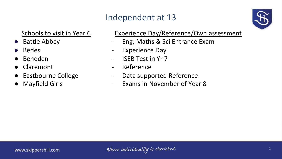### Independent at 13



### Schools to visit in Year 6

- Battle Abbey
- **Bedes**
- **Beneden**
- **Claremont**
- **Eastbourne College**
- **Mayfield Girls**

#### Experience Day/Reference/Own assessment

- Eng, Maths & Sci Entrance Exam
- Experience Day
- ISEB Test in Yr 7
- Reference
- Data supported Reference
- Exams in November of Year 8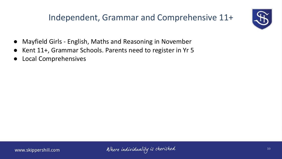### Independent, Grammar and Comprehensive 11+



- Mayfield Girls English, Maths and Reasoning in November
- Kent 11+, Grammar Schools. Parents need to register in Yr 5
- **Local Comprehensives**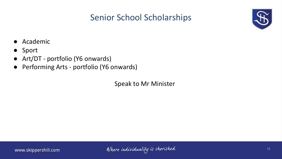### Senior School Scholarships



- Academic
- Sport
- Art/DT portfolio (Y6 onwards)
- Performing Arts portfolio (Y6 onwards)

Speak to Mr Minister